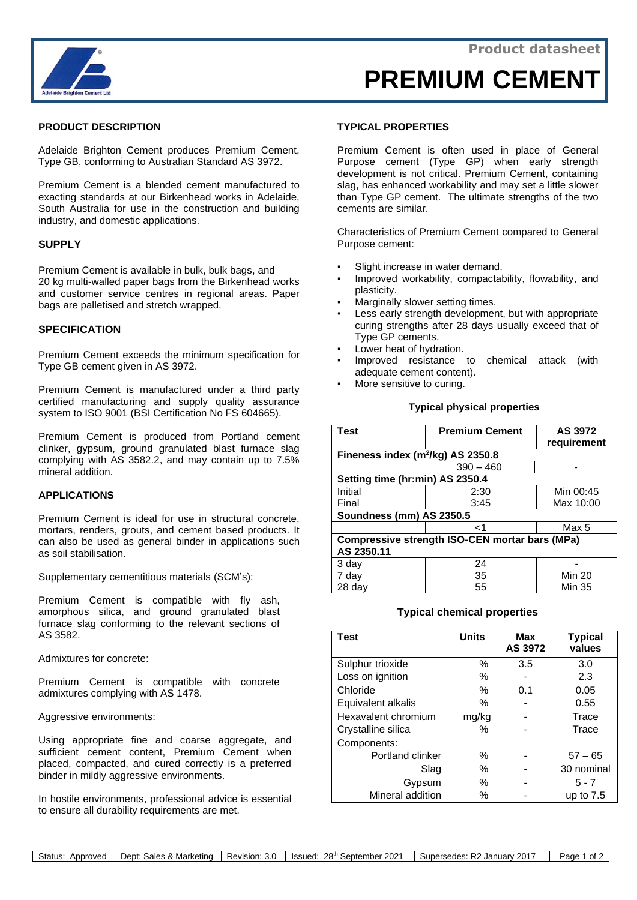

# **PRODUCT DESCRIPTION**

Adelaide Brighton Cement produces Premium Cement, Type GB, conforming to Australian Standard AS 3972.

Premium Cement is a blended cement manufactured to exacting standards at our Birkenhead works in Adelaide, South Australia for use in the construction and building industry, and domestic applications.

# **SUPPLY**

Premium Cement is available in bulk, bulk bags, and 20 kg multi-walled paper bags from the Birkenhead works and customer service centres in regional areas. Paper bags are palletised and stretch wrapped.

# **SPECIFICATION**

Premium Cement exceeds the minimum specification for Type GB cement given in AS 3972.

Premium Cement is manufactured under a third party certified manufacturing and supply quality assurance system to ISO 9001 (BSI Certification No FS 604665).

Premium Cement is produced from Portland cement clinker, gypsum, ground granulated blast furnace slag complying with AS 3582.2, and may contain up to 7.5% mineral addition.

## **APPLICATIONS**

Premium Cement is ideal for use in structural concrete, mortars, renders, grouts, and cement based products. It can also be used as general binder in applications such as soil stabilisation.

Supplementary cementitious materials (SCM's):

Premium Cement is compatible with fly ash, amorphous silica, and ground granulated blast furnace slag conforming to the relevant sections of AS 3582.

Admixtures for concrete:

Premium Cement is compatible with concrete admixtures complying with AS 1478.

Aggressive environments:

Using appropriate fine and coarse aggregate, and sufficient cement content, Premium Cement when placed, compacted, and cured correctly is a preferred binder in mildly aggressive environments.

In hostile environments, professional advice is essential to ensure all durability requirements are met.

## **TYPICAL PROPERTIES**

Premium Cement is often used in place of General Purpose cement (Type GP) when early strength development is not critical. Premium Cement, containing slag, has enhanced workability and may set a little slower than Type GP cement. The ultimate strengths of the two cements are similar.

Characteristics of Premium Cement compared to General Purpose cement:

- Slight increase in water demand.
- Improved workability, compactability, flowability, and plasticity.
- Marginally slower setting times.
- Less early strength development, but with appropriate curing strengths after 28 days usually exceed that of Type GP cements.
- Lower heat of hydration.
- Improved resistance to chemical attack (with adequate cement content).
- More sensitive to curing.

## **Typical physical properties**

| <b>Test</b>                                    | <b>Premium Cement</b> | AS 3972<br>requirement |  |  |  |
|------------------------------------------------|-----------------------|------------------------|--|--|--|
| Fineness index $(m^2/kg)$ AS 2350.8            |                       |                        |  |  |  |
|                                                | $390 - 460$           |                        |  |  |  |
| Setting time (hr:min) AS 2350.4                |                       |                        |  |  |  |
| Initial                                        | 2:30                  | Min 00:45              |  |  |  |
| Final                                          | 3:45                  | Max 10:00              |  |  |  |
| Soundness (mm) AS 2350.5                       |                       |                        |  |  |  |
|                                                | -1                    | Max 5                  |  |  |  |
| Compressive strength ISO-CEN mortar bars (MPa) |                       |                        |  |  |  |
| AS 2350.11                                     |                       |                        |  |  |  |
| 3 day                                          | 24                    |                        |  |  |  |
| 7 day                                          | 35                    | Min 20                 |  |  |  |
| 28 day                                         | 55                    | Min 35                 |  |  |  |

#### **Typical chemical properties**

| <b>Test</b>         | <b>Units</b> | <b>Max</b><br>AS 3972 | <b>Typical</b><br>values |
|---------------------|--------------|-----------------------|--------------------------|
| Sulphur trioxide    | %            | 3.5                   | 3.0                      |
| Loss on ignition    | %            |                       | 2.3                      |
| Chloride            | %            | 0.1                   | 0.05                     |
| Equivalent alkalis  | ℅            |                       | 0.55                     |
| Hexavalent chromium | mg/kg        |                       | Trace                    |
| Crystalline silica  | ℅            |                       | Trace                    |
| Components:         |              |                       |                          |
| Portland clinker    | %            |                       | $57 - 65$                |
| Slag                | %            |                       | 30 nominal               |
| Gypsum              | $\%$         |                       | $5 - 7$                  |
| Mineral addition    | $\%$         |                       | up to $7.5$              |